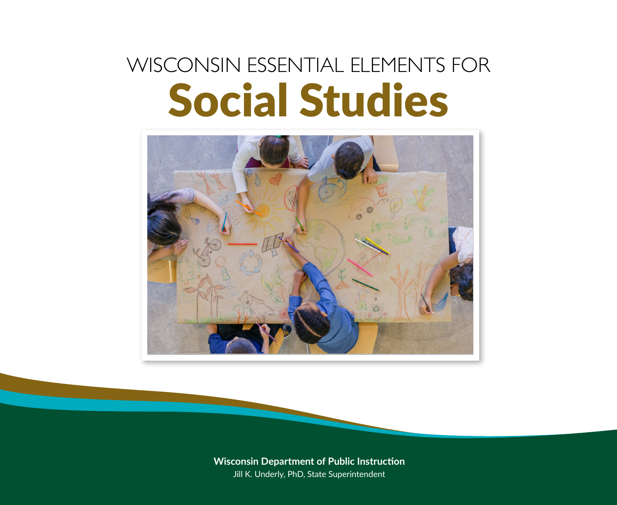# WISCONSIN ESSENTIAL ELEMENTS FOR Social Studies



Wisconsin Department of Public Instruction **Wisconsin Department of Public Instruction** Jill K. Underly, PhD, State Superintendent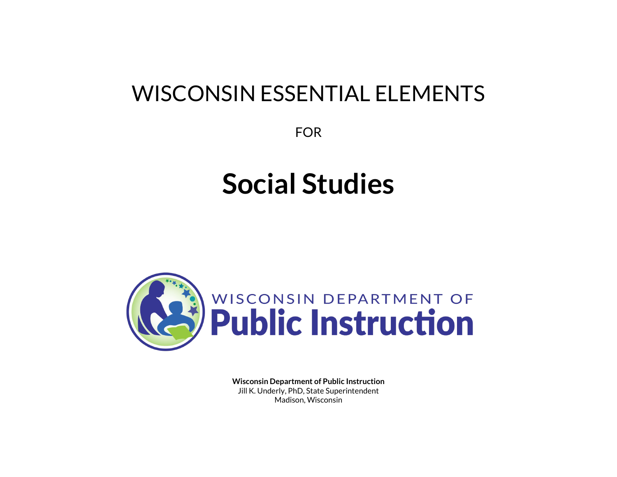## WISCONSIN ESSENTIAL ELEMENTS

FOR

# **Social Studies**



**Wisconsin Department of Public Instruction** Jill K. Underly, PhD, State Superintendent Madison, Wisconsin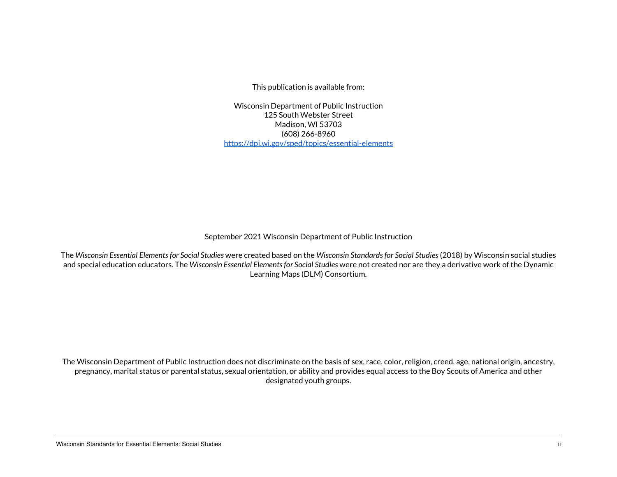This publication is available from:

Wisconsin Department of Public Instruction 125 South Webster Street Madison, WI 53703 (608) 266-8960 <https://dpi.wi.gov/sped/topics/essential-elements>

September 2021 Wisconsin Department of Public Instruction

The *Wisconsin Essential Elements for Social Studies* were created based on the *Wisconsin Standards for Social Studies* (2018) by Wisconsin social studies and special education educators. The *Wisconsin Essential Elements for Social Studies* were not created nor are they a derivative work of the Dynamic Learning Maps (DLM) Consortium.

The Wisconsin Department of Public Instruction does not discriminate on the basis of sex, race, color, religion, creed, age, national origin, ancestry, pregnancy, marital status or parental status, sexual orientation, or ability and provides equal access to the Boy Scouts of America and other designated youth groups.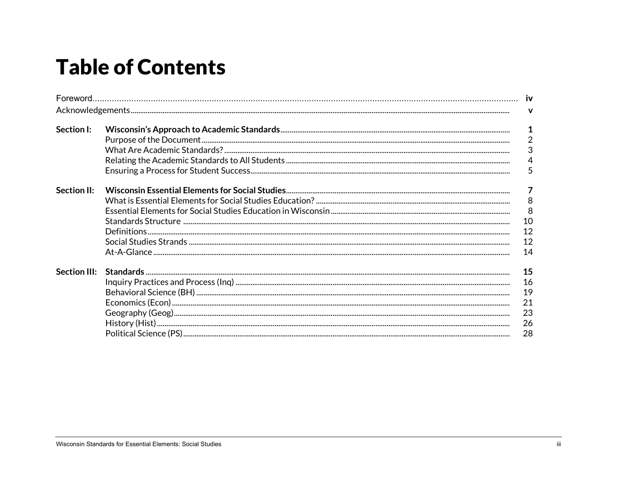## **Table of Contents**

|                     |  | $\mathbf{v}$                                                       |  |
|---------------------|--|--------------------------------------------------------------------|--|
| Section I:          |  | $\mathbf{1}$<br>$\overline{2}$<br>$\mathfrak{S}$<br>$\overline{4}$ |  |
|                     |  | 5                                                                  |  |
| Section II:         |  | $\overline{7}$<br>$\boldsymbol{8}$<br>8<br>10<br>12<br>12<br>14    |  |
| <b>Section III:</b> |  | 15<br>16<br>19<br>21<br>23<br>26<br>28                             |  |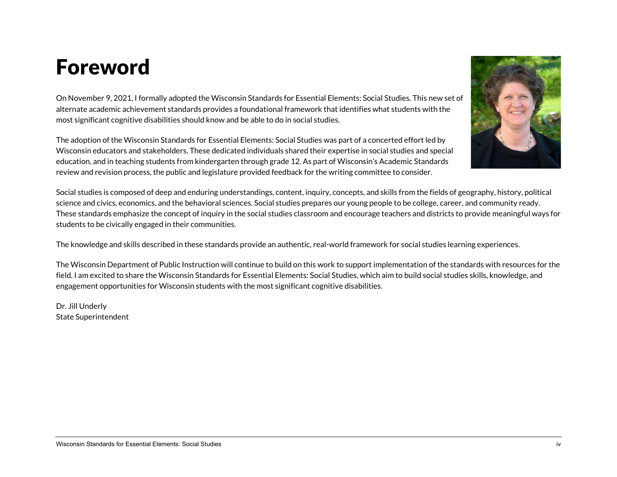## Foreword

On November 9, 2021, I formally adopted the Wisconsin Standards for Essential Elements: Social Studies. This new set of alternate academic achievement standards provides a foundational framework that identifies what students with the most significant cognitive disabilities should know and be able to do in social studies.

The adoption of the Wisconsin Standards for Essential Elements: Social Studies was part of a concerted effort led by Wisconsin educators and stakeholders. These dedicated individuals shared their expertise in social studies and special education, and in teaching students from kindergarten through grade 12. As part of Wisconsin's Academic Standards review and revision process, the public and legislature provided feedback for the writing committee to consider.

Social studies is composed of deep and enduring understandings, content, inquiry, concepts, and skills from the fields of geography, history, political science and civics, economics, and the behavioral sciences. Social studies prepares our young people to be college, career, and community ready. These standards emphasize the concept of inquiry in the social studies classroom and encourage teachers and districts to provide meaningful ways for students to be civically engaged in their communities.

The knowledge and skills described in these standards provide an authentic, real-world framework for social studies learning experiences.

The Wisconsin Department of Public Instruction will continue to build on this work to support implementation of the standards with resources for the field. I am excited to share the Wisconsin Standards for Essential Elements: Social Studies, which aim to build social studies skills, knowledge, and engagement opportunities for Wisconsin students with the most significant cognitive disabilities.

Dr. Jill Underly State Superintendent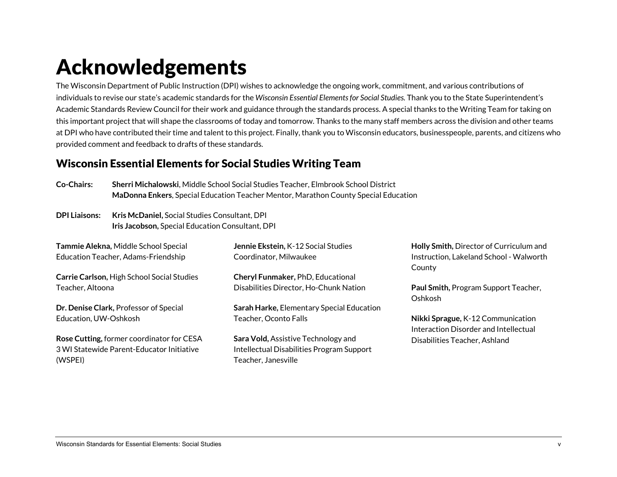## Acknowledgements

The Wisconsin Department of Public Instruction (DPI) wishes to acknowledge the ongoing work, commitment, and various contributions of individuals to revise our state's academic standards for the *Wisconsin Essential Elements for Social Studies.* Thank you to the State Superintendent's Academic Standards Review Council for their work and guidance through the standards process. A special thanks to the Writing Team for taking on this important project that will shape the classrooms of today and tomorrow. Thanks to the many staff members across the division and other teams at DPI who have contributed their time and talent to this project. Finally, thank you to Wisconsin educators, businesspeople, parents, and citizens who provided comment and feedback to drafts of these standards.

## Wisconsin Essential Elements for Social Studies Writing Team

| Co-Chairs: | Sherri Michalowski, Middle School Social Studies Teacher, Elmbrook School District  |
|------------|-------------------------------------------------------------------------------------|
|            | MaDonna Enkers, Special Education Teacher Mentor, Marathon County Special Education |

**DPI Liaisons: Kris McDaniel,** Social Studies Consultant, DPI  **Iris Jacobson,** Special Education Consultant, DPI

| Tammie Alekna, Middle School Special       | Jennie Ekstein, K-12 Social Studies       | Holly Smith, Director of Curriculum and                                    |
|--------------------------------------------|-------------------------------------------|----------------------------------------------------------------------------|
| Education Teacher, Adams-Friendship        | Coordinator, Milwaukee                    | Instruction, Lakeland School - Walworth<br>County                          |
| Carrie Carlson, High School Social Studies | Cheryl Funmaker, PhD, Educational         |                                                                            |
| Teacher, Altoona                           | Disabilities Director, Ho-Chunk Nation    | Paul Smith, Program Support Teacher,<br>Oshkosh                            |
| Dr. Denise Clark, Professor of Special     | Sarah Harke, Elementary Special Education |                                                                            |
| Education, UW-Oshkosh                      | Teacher, Oconto Falls                     | Nikki Sprague, K-12 Communication<br>Interaction Disorder and Intellectual |
| Rose Cutting, former coordinator for CESA  | Sara Vold, Assistive Technology and       | Disabilities Teacher, Ashland                                              |
| 3 WI Statewide Parent-Educator Initiative  | Intellectual Disabilities Program Support |                                                                            |
| (WSPEI)                                    | Teacher, Janesville                       |                                                                            |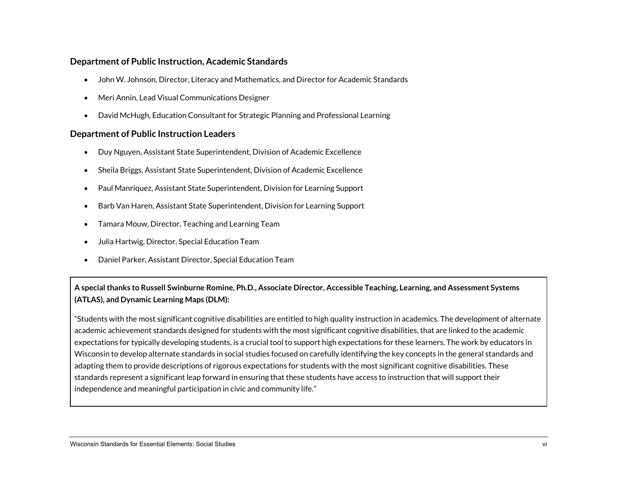#### **Department of Public Instruction, Academic Standards**

- John W. Johnson, Director, Literacy and Mathematics, and Director for Academic Standards
- Meri Annin, Lead Visual Communications Designer
- David McHugh, Education Consultant for Strategic Planning and Professional Learning

#### **Department of Public Instruction Leaders**

- Duy Nguyen, Assistant State Superintendent, Division of Academic Excellence
- Sheila Briggs, Assistant State Superintendent, Division of Academic Excellence
- Paul Manriquez, Assistant State Superintendent, Division for Learning Support
- Barb Van Haren, Assistant State Superintendent, Division for Learning Support
- Tamara Mouw, Director, Teaching and Learning Team
- Julia Hartwig, Director, Special Education Team
- Daniel Parker, Assistant Director, Special Education Team

#### **A special thanks to Russell Swinburne Romine, Ph.D., Associate Director, Accessible Teaching, Learning, and Assessment Systems (ATLAS), and Dynamic Learning Maps (DLM):**

"Students with the most significant cognitive disabilities are entitled to high quality instruction in academics. The development of alternate academic achievement standards designed for students with the most significant cognitive disabilities, that are linked to the academic expectations for typically developing students, is a crucial tool to support high expectations for these learners. The work by educators in Wisconsin to develop alternate standards in social studies focused on carefully identifying the key concepts in the general standards and adapting them to provide descriptions of rigorous expectations for students with the most significant cognitive disabilities. These standards represent a significant leap forward in ensuring that these students have access to instruction that will support their independence and meaningful participation in civic and community life."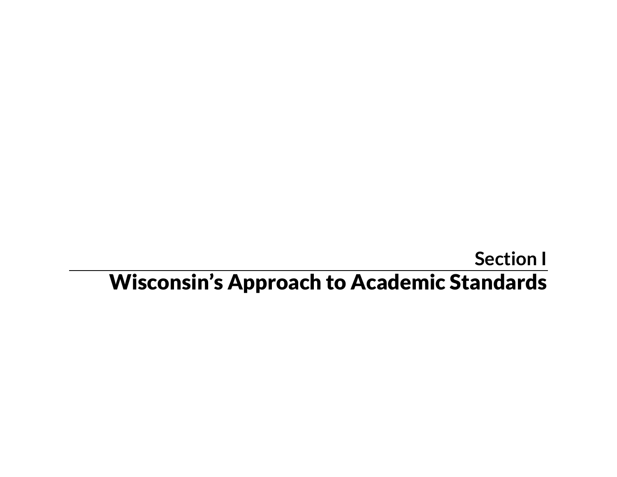## **Section I** Wisconsin's Approach to Academic Standards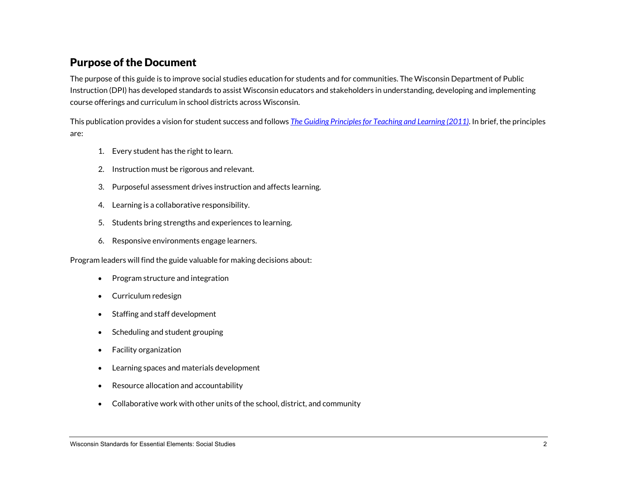### Purpose of the Document

The purpose of this guide is to improve social studies education for students and for communities. The Wisconsin Department of Public Instruction (DPI) has developed standards to assist Wisconsin educators and stakeholders in understanding, developing and implementing course offerings and curriculum in school districts across Wisconsin.

This publication provides a vision for student success and follows *[The Guiding Principles for Teaching and Learning](https://dpi.wi.gov/standards/guiding-principles) (2011)*. In brief, the principles are:

- 1. Every student has the right to learn.
- 2. Instruction must be rigorous and relevant.
- 3. Purposeful assessment drives instruction and affects learning.
- 4. Learning is a collaborative responsibility.
- 5. Students bring strengths and experiences to learning.
- 6. Responsive environments engage learners.

Program leaders will find the guide valuable for making decisions about:

- Program structure and integration
- Curriculum redesign
- Staffing and staff development
- Scheduling and student grouping
- Facility organization
- Learning spaces and materials development
- Resource allocation and accountability
- Collaborative work with other units of the school, district, and community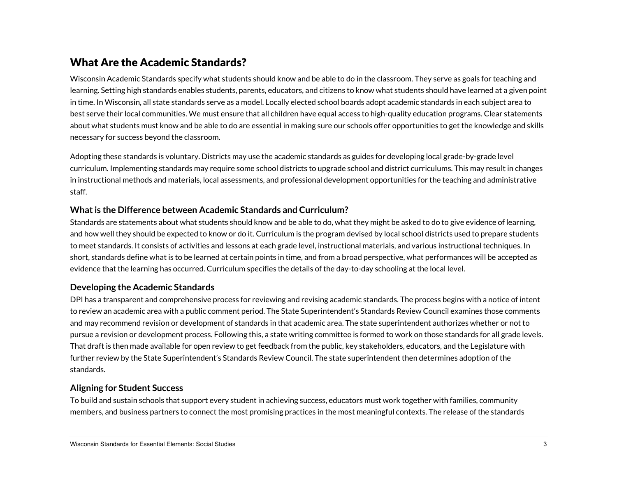## What Are the Academic Standards?

Wisconsin Academic Standards specify what students should know and be able to do in the classroom. They serve as goals for teaching and learning. Setting high standards enables students, parents, educators, and citizens to know what students should have learned at a given point in time. In Wisconsin, all state standards serve as a model. Locally elected school boards adopt academic standards in each subject area to best serve their local communities. We must ensure that all children have equal access to high-quality education programs. Clear statements about what students must know and be able to do are essential in making sure our schools offer opportunities to get the knowledge and skills necessary for success beyond the classroom.

Adopting these standards is voluntary. Districts may use the academic standards as guides for developing local grade-by-grade level curriculum. Implementing standards may require some school districts to upgrade school and district curriculums. This may result in changes in instructional methods and materials, local assessments, and professional development opportunities for the teaching and administrative staff.

#### **What is the Difference between Academic Standards and Curriculum?**

Standards are statements about what students should know and be able to do, what they might be asked to do to give evidence of learning, and how well they should be expected to know or do it. Curriculum is the program devised by local school districts used to prepare students to meet standards. It consists of activities and lessons at each grade level, instructional materials, and various instructional techniques. In short, standards define what is to be learned at certain points in time, and from a broad perspective, what performances will be accepted as evidence that the learning has occurred. Curriculum specifies the details of the day-to-day schooling at the local level.

#### **Developing the Academic Standards**

DPI has a transparent and comprehensive process for reviewing and revising academic standards. The process begins with a notice of intent to review an academic area with a public comment period. The State Superintendent's Standards Review Council examines those comments and may recommend revision or development of standards in that academic area. The state superintendent authorizes whether or not to pursue a revision or development process. Following this, a state writing committee is formed to work on those standards for all grade levels. That draft is then made available for open review to get feedback from the public, key stakeholders, educators, and the Legislature with further review by the State Superintendent's Standards Review Council. The state superintendent then determines adoption of the standards.

#### **Aligning for Student Success**

To build and sustain schools that support every student in achieving success, educators must work together with families, community members, and business partners to connect the most promising practices in the most meaningful contexts. The release of the standards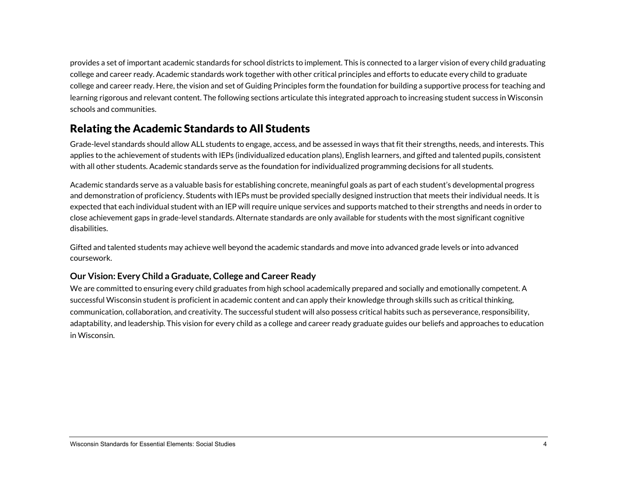provides a set of important academic standards for school districts to implement. This is connected to a larger vision of every child graduating college and career ready. Academic standards work together with other critical principles and efforts to educate every child to graduate college and career ready. Here, the vision and set of Guiding Principles form the foundation for building a supportive process for teaching and learning rigorous and relevant content. The following sections articulate this integrated approach to increasing student success in Wisconsin schools and communities.

## Relating the Academic Standards to All Students

Grade-level standards should allow ALL students to engage, access, and be assessed in ways that fit their strengths, needs, and interests. This applies to the achievement of students with IEPs (individualized education plans), English learners, and gifted and talented pupils, consistent with all other students. Academic standards serve as the foundation for individualized programming decisions for all students.

Academic standards serve as a valuable basis for establishing concrete, meaningful goals as part of each student's developmental progress and demonstration of proficiency. Students with IEPs must be provided specially designed instruction that meets their individual needs. It is expected that each individual student with an IEP will require unique services and supports matched to their strengths and needs in order to close achievement gaps in grade-level standards. Alternate standards are only available for students with the most significant cognitive disabilities.

Gifted and talented students may achieve well beyond the academic standards and move into advanced grade levels or into advanced coursework.

#### **Our Vision: Every Child a Graduate, College and Career Ready**

We are committed to ensuring every child graduates from high school academically prepared and socially and emotionally competent. A successful Wisconsin student is proficient in academic content and can apply their knowledge through skills such as critical thinking, communication, collaboration, and creativity. The successful student will also possess critical habits such as perseverance, responsibility, adaptability, and leadership. This vision for every child as a college and career ready graduate guides our beliefs and approaches to education in Wisconsin.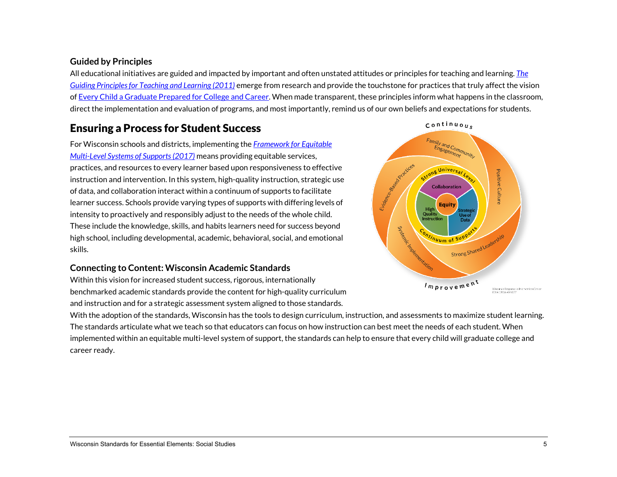#### **Guided by Principles**

All educational initiatives are guided and impacted by important and often unstated attitudes or principles for teaching and learning. *[The](https://dpi.wi.gov/standards/guiding-principles)  [Guiding Principles for Teaching and Learning \(2011\)](https://dpi.wi.gov/standards/guiding-principles)* emerge from research and provide the touchstone for practices that truly affect the vision of [Every Child a Graduate Prepared for College and Career.](https://dpi.wi.gov/statesupt/every-child-graduate) When made transparent, these principles inform what happens in the classroom, direct the implementation and evaluation of programs, and most importantly, remind us of our own beliefs and expectations for students.

## Ensuring a Process for Student Success

For Wisconsin schools and districts, implementing the *[Framework for Equitable](https://dpi.wi.gov/rti)  [Multi-Level Systems of Supports\(](https://dpi.wi.gov/rti)2017)* means providing equitable services, practices, and resources to every learner based upon responsiveness to effective instruction and intervention. In this system, high-quality instruction, strategic use of data, and collaboration interact within a continuum of supports to facilitate learner success. Schools provide varying types of supports with differing levels of intensity to proactively and responsibly adjust to the needs of the whole child. These include the knowledge, skills, and habits learners need for success beyond high school, including developmental, academic, behavioral, social, and emotional skills.

#### **Connecting to Content: Wisconsin Academic Standards**

Within this vision for increased student success, rigorous, internationally benchmarked academic standards provide the content for high-quality curriculum and instruction and for a strategic assessment system aligned to those standards.



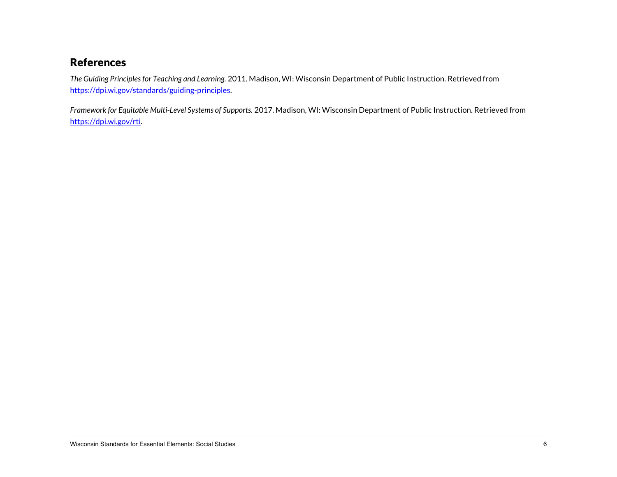## **References**

*The Guiding Principles for Teaching and Learning.* 2011. Madison, WI: Wisconsin Department of Public Instruction. Retrieved from [https://dpi.wi.gov/standards/guiding-principles.](https://dpi.wi.gov/standards/guiding-principles) 

*Framework for Equitable Multi-Level Systems of Supports.* 2017. Madison, WI: Wisconsin Department of Public Instruction. Retrieved from [https://dpi.wi.gov/rti.](https://dpi.wi.gov/rti)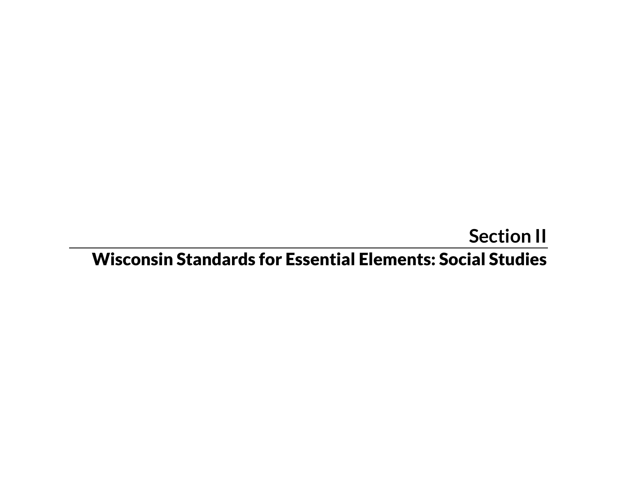## **Section II** Wisconsin Standards for Essential Elements: Social Studies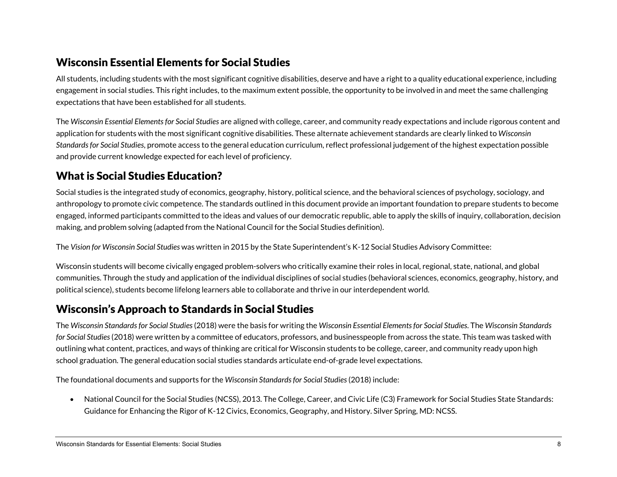## Wisconsin Essential Elements for Social Studies

All students, including students with the most significant cognitive disabilities, deserve and have a right to a quality educational experience, including engagement in social studies. This right includes, to the maximum extent possible, the opportunity to be involved in and meet the same challenging expectations that have been established for all students.

The *Wisconsin Essential Elements for Social Studies* are aligned with college, career, and community ready expectations and include rigorous content and application for students with the most significant cognitive disabilities. These alternate achievement standards are clearly linked to *Wisconsin Standards for Social Studies*, promote access to the general education curriculum, reflect professional judgement of the highest expectation possible and provide current knowledge expected for each level of proficiency.

## What is Social Studies Education?

Social studies is the integrated study of economics, geography, history, political science, and the behavioral sciences of psychology, sociology, and anthropology to promote civic competence. The standards outlined in this document provide an important foundation to prepare students to become engaged, informed participants committed to the ideas and values of our democratic republic, able to apply the skills of inquiry, collaboration, decision making, and problem solving (adapted from the National Council for the Social Studies definition).

The *Vision for Wisconsin Social Studies* was written in 2015 by the State Superintendent's K-12 Social Studies Advisory Committee:

Wisconsin students will become civically engaged problem-solvers who critically examine their roles in local, regional, state, national, and global communities. Through the study and application of the individual disciplines of social studies (behavioral sciences, economics, geography, history, and political science), students become lifelong learners able to collaborate and thrive in our interdependent world.

### Wisconsin's Approach to Standards in Social Studies

The *Wisconsin Standards for Social Studies*(2018) were the basis for writing the *Wisconsin Essential Elements for Social Studies*. The *Wisconsin Standards for Social Studies*(2018) were written by a committee of educators, professors, and businesspeople from across the state. This team was tasked with outlining what content, practices, and ways of thinking are critical for Wisconsin students to be college, career, and community ready upon high school graduation. The general education social studies standards articulate end-of-grade level expectations.

The foundational documents and supports for the *Wisconsin Standards for Social Studies*(2018) include:

• National Council for the Social Studies (NCSS), 2013. The College, Career, and Civic Life (C3) Framework for Social Studies State Standards: Guidance for Enhancing the Rigor of K-12 Civics, Economics, Geography, and History. Silver Spring, MD: NCSS.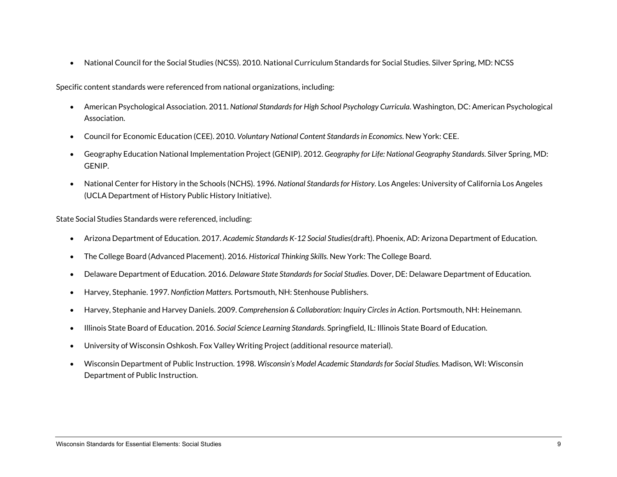• National Council for the Social Studies (NCSS). 2010. National Curriculum Standards for Social Studies. Silver Spring, MD: NCSS

Specific content standards were referenced from national organizations, including:

- American Psychological Association. 2011. *National Standards for High School Psychology Curricula*. Washington, DC: American Psychological Association.
- Council for Economic Education (CEE). 2010. *Voluntary National Content Standards in Economics*. New York: CEE.
- Geography Education National Implementation Project (GENIP). 2012. *Geography for Life: National Geography Standards*. Silver Spring, MD: GENIP.
- National Center for History in the Schools (NCHS). 1996. *National Standards for History.* Los Angeles: University of California Los Angeles (UCLA Department of History Public History Initiative).

State Social Studies Standards were referenced, including:

- Arizona Department of Education. 2017. *Academic Standards K-12 Social Studies*(draft). Phoenix, AD: Arizona Department of Education.
- The College Board (Advanced Placement). 2016. *Historical Thinking Skills.* New York: The College Board.
- Delaware Department of Education. 2016. *Delaware State Standards for Social Studies*. Dover, DE: Delaware Department of Education.
- Harvey, Stephanie. 1997. *Nonfiction Matters.* Portsmouth, NH: Stenhouse Publishers.
- Harvey, Stephanie and Harvey Daniels. 2009. *Comprehension & Collaboration: Inquiry Circles in Action*. Portsmouth, NH: Heinemann.
- Illinois State Board of Education. 2016. *Social Science Learning Standards*. Springfield, IL: Illinois State Board of Education.
- University of Wisconsin Oshkosh. Fox Valley Writing Project (additional resource material).
- Wisconsin Department of Public Instruction. 1998. *Wisconsin's Model Academic Standards for Social Studies.* Madison, WI: Wisconsin Department of Public Instruction.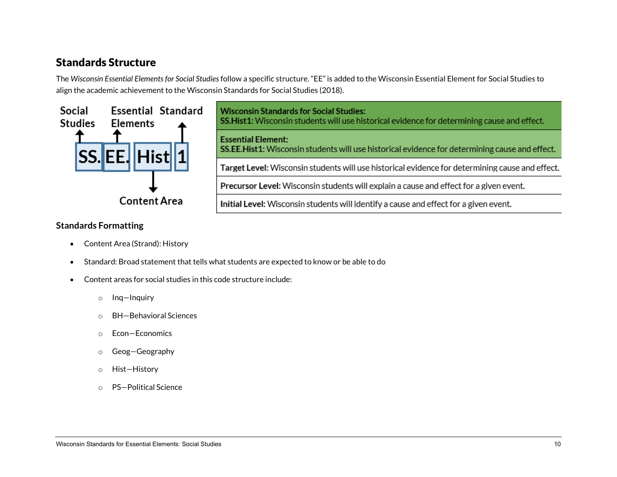## Standards Structure

The *Wisconsin Essential Elements for Social Studies*follow a specific structure. "EE" is added to the Wisconsin Essential Element for Social Studies to align the academic achievement to the Wisconsin Standards for Social Studies (2018).



**Wisconsin Standards for Social Studies:** SS.Hist1: Wisconsin students will use historical evidence for determining cause and effect. **Essential Element:** SS.EE.Hist1: Wisconsin students will use historical evidence for determining cause and effect. Target Level: Wisconsin students will use historical evidence for determining cause and effect. Precursor Level: Wisconsin students will explain a cause and effect for a given event. Initial Level: Wisconsin students will identify a cause and effect for a given event.

#### **Standards Formatting**

- Content Area (Strand): History
- Standard: Broad statement that tells what students are expected to know or be able to do
- Content areas for social studies in this code structure include:
	- o Inq—Inquiry
	- o BH—Behavioral Sciences
	- o Econ—Economics
	- o Geog—Geography
	- o Hist—History
	- o PS—Political Science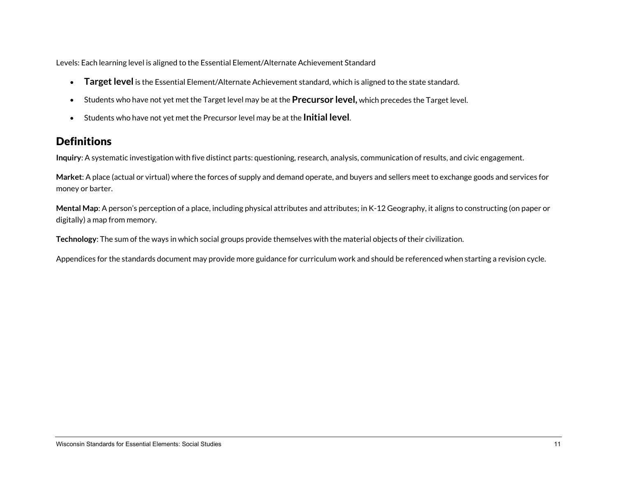Levels: Each learning level is aligned to the Essential Element/Alternate Achievement Standard

- **Target level** is the Essential Element/Alternate Achievement standard, which is aligned to the state standard.
- Students who have not yet met the Target level may be at the **Precursor level,** which precedes the Target level.
- Students who have not yet met the Precursor level may be at the **Initial level**.

## **Definitions**

**Inquiry**: A systematic investigation with five distinct parts: questioning, research, analysis, communication of results, and civic engagement.

**Market**: A place (actual or virtual) where the forces of supply and demand operate, and buyers and sellers meet to exchange goods and services for money or barter.

**Mental Map**: A person's perception of a place, including physical attributes and attributes; in K-12 Geography, it aligns to constructing (on paper or digitally) a map from memory.

**Technology**: The sum of the ways in which social groups provide themselves with the material objects of their civilization.

Appendices for the standards document may provide more guidance for curriculum work and should be referenced when starting a revision cycle.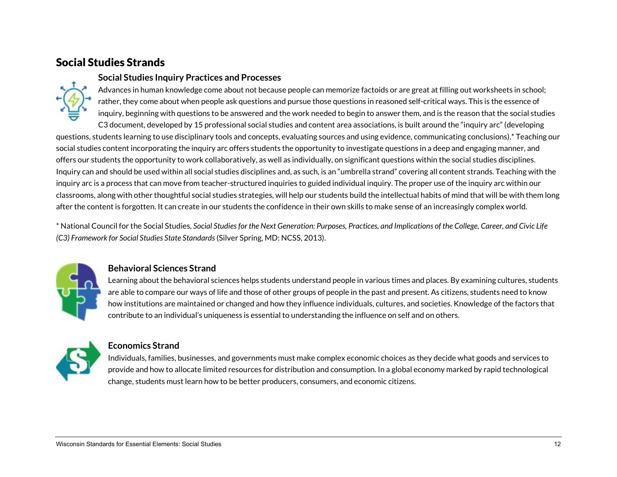## Social Studies Strands

#### **Social Studies Inquiry Practices and Processes**



Advances in human knowledge come about not because people can memorize factoids or are great at filling out worksheets in school; rather, they come about when people ask questions and pursue those questions in reasoned self-critical ways. This is the essence of inquiry, beginning with questions to be answered and the work needed to begin to answer them, and is the reason that the social studies

C3 document, developed by 15 professional social studies and content area associations, is built around the "inquiry arc" (developing questions, students learning to use disciplinary tools and concepts, evaluating sources and using evidence, communicating conclusions).\* Teaching our social studies content incorporating the inquiry arc offers students the opportunity to investigate questions in a deep and engaging manner, and offers our students the opportunity to work collaboratively, as well as individually, on significant questions within the social studies disciplines. Inquiry can and should be used within all social studies disciplines and, as such, is an "umbrella strand" covering all content strands. Teaching with the inquiry arc is a process that can move from teacher-structured inquiries to guided individual inquiry. The proper use of the inquiry arc within our classrooms, along with other thoughtful social studies strategies, will help our students build the intellectual habits of mind that will be with them long after the content is forgotten. It can create in our students the confidence in their own skills to make sense of an increasingly complex world.

\* National Council for the Social Studies, *Social Studies for the Next Generation: Purposes, Practices, and Implications of the College, Career, and Civic Life (C3) Framework for Social Studies State Standards*(Silver Spring, MD: NCSS, 2013).



#### **Behavioral Sciences Strand**

Learning about the behavioral sciences helps students understand people in various times and places. By examining cultures, students are able to compare our ways of life and those of other groups of people in the past and present. As citizens, students need to know how institutions are maintained or changed and how they influence individuals, cultures, and societies. Knowledge of the factors that contribute to an individual's uniqueness is essential to understanding the influence on self and on others.



#### **Economics Strand**

Individuals, families, businesses, and governments must make complex economic choices as they decide what goods and services to provide and how to allocate limited resources for distribution and consumption. In a global economy marked by rapid technological change, students must learn how to be better producers, consumers, and economic citizens.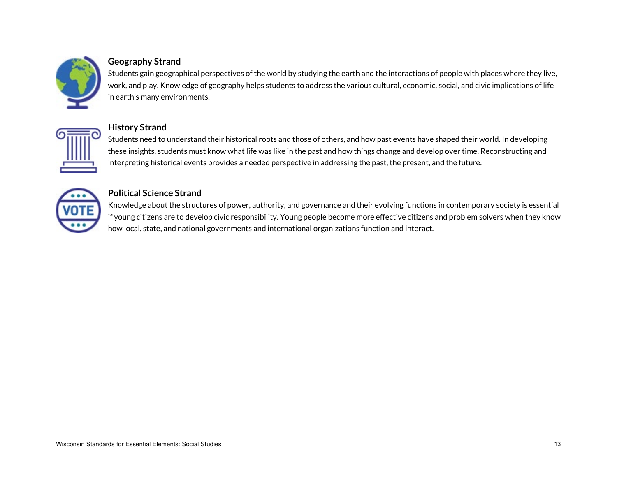

#### **Geography Strand**

Students gain geographical perspectives of the world by studying the earth and the interactions of people with places where they live, work, and play. Knowledge of geography helps students to address the various cultural, economic, social, and civic implications of life in earth's many environments.



#### **History Strand**

Students need to understand their historical roots and those of others, and how past events have shaped their world. In developing these insights, students must know what life was like in the past and how things change and develop over time. Reconstructing and interpreting historical events provides a needed perspective in addressing the past, the present, and the future.



#### **Political Science Strand**

Knowledge about the structures of power, authority, and governance and their evolving functions in contemporary society is essential if young citizens are to develop civic responsibility. Young people become more effective citizens and problem solvers when they know how local, state, and national governments and international organizations function and interact.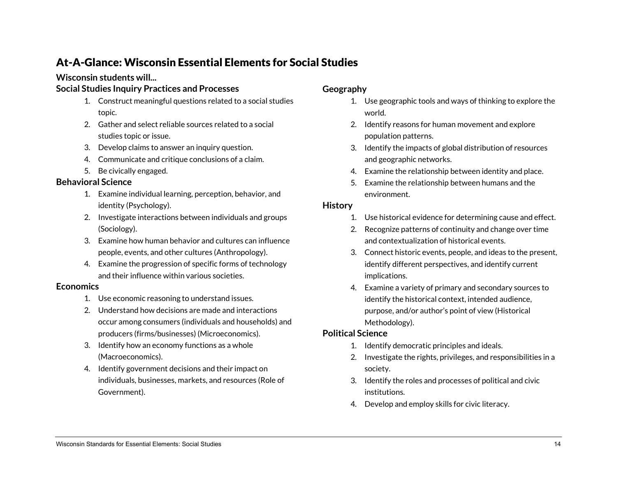## At-A-Glance: Wisconsin Essential Elements for Social Studies

#### **Wisconsin students will...**

#### **Social Studies Inquiry Practices and Processes**

- 1. Construct meaningful questions related to a social studies topic.
- 2. Gather and select reliable sources related to a social studies topic or issue.
- 3. Develop claims to answer an inquiry question.
- 4. Communicate and critique conclusions of a claim.
- 5. Be civically engaged.

#### **Behavioral Science**

- 1. Examine individual learning, perception, behavior, and identity (Psychology).
- 2. Investigate interactions between individuals and groups (Sociology).
- 3. Examine how human behavior and cultures can influence people, events, and other cultures (Anthropology).
- 4. Examine the progression of specific forms of technology and their influence within various societies.

#### **Economics**

- 1. Use economic reasoning to understand issues.
- 2. Understand how decisions are made and interactions occur among consumers (individuals and households) and producers (firms/businesses) (Microeconomics).
- 3. Identify how an economy functions as a whole (Macroeconomics).
- 4. Identify government decisions and their impact on individuals, businesses, markets, and resources (Role of Government).

#### **Geography**

- 1. Use geographic tools and ways of thinking to explore the world.
- 2. Identify reasons for human movement and explore population patterns.
- 3. Identify the impacts of global distribution of resources and geographic networks.
- 4. Examine the relationship between identity and place.
- 5. Examine the relationship between humans and the environment.

#### **History**

- 1. Use historical evidence for determining cause and effect.
- 2. Recognize patterns of continuity and change over time and contextualization of historical events.
- 3. Connect historic events, people, and ideas to the present, identify different perspectives, and identify current implications.
- 4. Examine a variety of primary and secondary sources to identify the historical context, intended audience, purpose, and/or author's point of view (Historical Methodology).

#### **Political Science**

- 1. Identify democratic principles and ideals.
- 2. Investigate the rights, privileges, and responsibilities in a society.
- 3. Identify the roles and processes of political and civic institutions.
- 4. Develop and employ skills for civic literacy.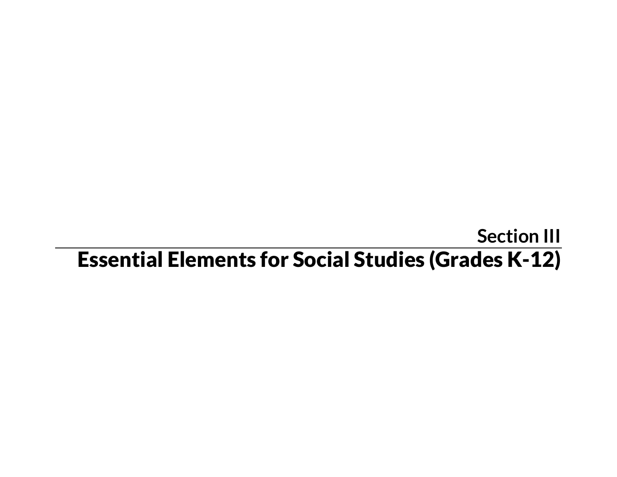## **Section III** Essential Elements for Social Studies (Grades K-12)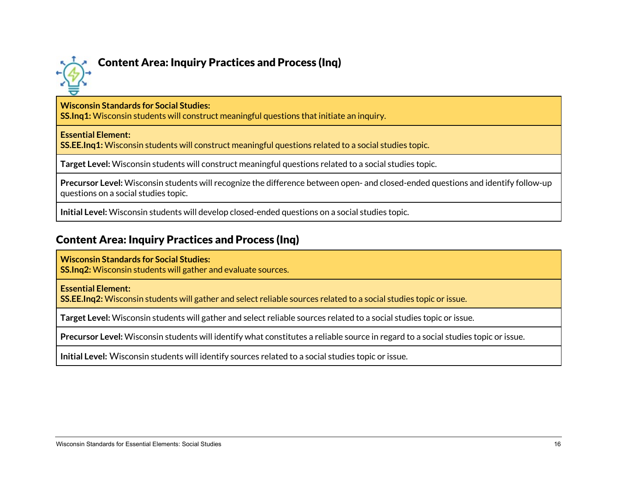

## Content Area: Inquiry Practices and Process (Inq)

#### **Wisconsin Standards for Social Studies:**

**SS.Inq1:** Wisconsin students will construct meaningful questions that initiate an inquiry.

#### **Essential Element:**

**SS.EE.Inq1:** Wisconsin students will construct meaningful questions related to a social studies topic.

**Target Level:** Wisconsin students will construct meaningful questions related to a social studies topic.

**Precursor Level:** Wisconsin students will recognize the difference between open- and closed-ended questions and identify follow-up questions on a social studies topic.

**Initial Level:** Wisconsin students will develop closed-ended questions on a social studies topic.

## Content Area: Inquiry Practices and Process (Inq)

#### **Wisconsin Standards for Social Studies:**

**SS.Inq2:** Wisconsin students will gather and evaluate sources.

#### **Essential Element:**

**SS.EE.Inq2:** Wisconsin students will gather and select reliable sources related to a social studies topic or issue.

**Target Level:** Wisconsin students will gather and select reliable sources related to a social studies topic or issue.

**Precursor Level:** Wisconsin students will identify what constitutes a reliable source in regard to a social studies topic or issue.

**Initial Level:** Wisconsin students will identify sources related to a social studies topic or issue.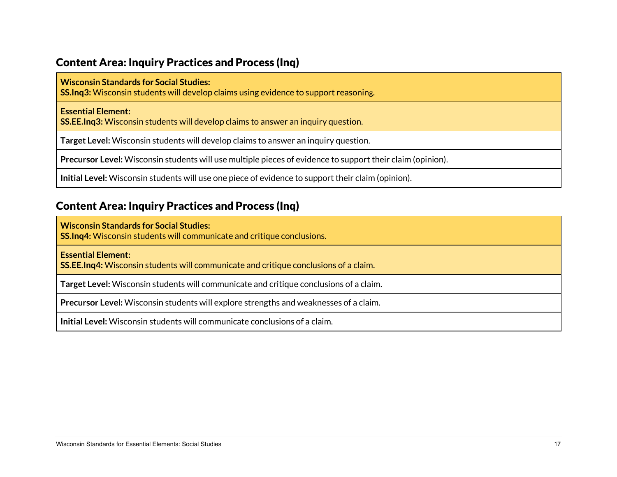## Content Area: Inquiry Practices and Process (Inq)

#### **Wisconsin Standards for Social Studies:**

**SS.Inq3:** Wisconsin students will develop claims using evidence to support reasoning**.**

#### **Essential Element:**

**SS.EE.Inq3:** Wisconsin students will develop claims to answer an inquiry question.

**Target Level:** Wisconsin students will develop claims to answer an inquiry question.

**Precursor Level:** Wisconsin students will use multiple pieces of evidence to support their claim (opinion).

**Initial Level:** Wisconsin students will use one piece of evidence to support their claim (opinion).

## Content Area: Inquiry Practices and Process (Inq)

**Wisconsin Standards for Social Studies: SS.Inq4:** Wisconsin students will communicate and critique conclusions.

**Essential Element:**

**SS.EE.Inq4:** Wisconsin students will communicate and critique conclusions of a claim.

**Target Level:** Wisconsin students will communicate and critique conclusions of a claim.

**Precursor Level:** Wisconsin students will explore strengths and weaknesses of a claim.

**Initial Level:** Wisconsin students will communicate conclusions of a claim.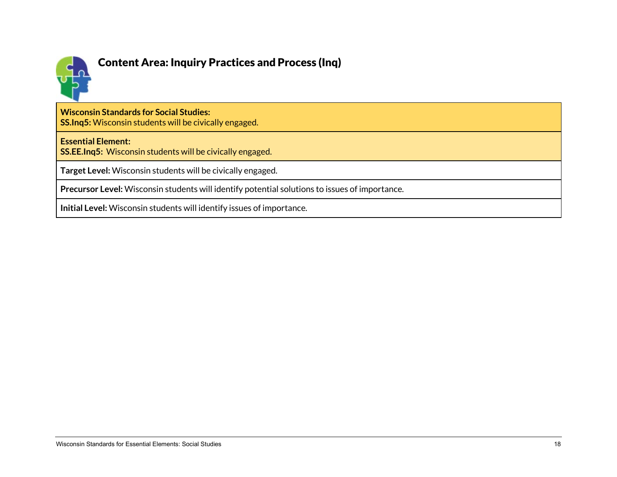

## Content Area: Inquiry Practices and Process (Inq)

**Wisconsin Standards for Social Studies:**

**SS.Inq5:** Wisconsin students will be civically engaged.

#### **Essential Element:**

**SS.EE.Inq5:** Wisconsin students will be civically engaged.

**Target Level:** Wisconsin students will be civically engaged.

**Precursor Level:** Wisconsin students will identify potential solutions to issues of importance.

**Initial Level:** Wisconsin students will identify issues of importance.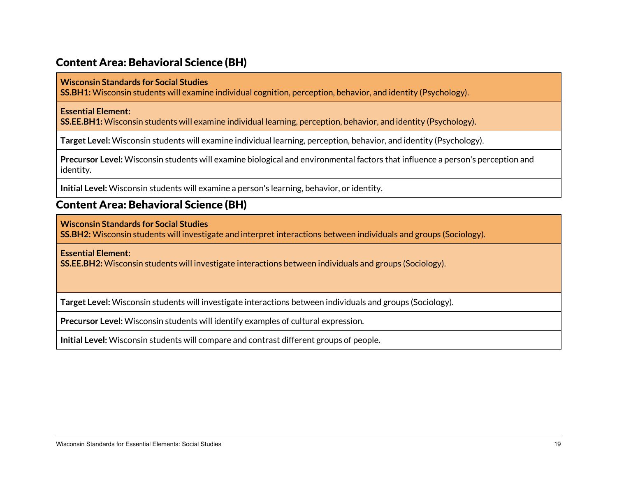## Content Area: Behavioral Science (BH)

#### **Wisconsin Standards for Social Studies**

**SS.BH1:** Wisconsin students will examine individual cognition, perception, behavior, and identity (Psychology).

#### **Essential Element:**

**SS.EE.BH1:** Wisconsin students will examine individual learning, perception, behavior, and identity (Psychology).

**Target Level:** Wisconsin students will examine individual learning, perception, behavior, and identity (Psychology).

**Precursor Level:** Wisconsin students will examine biological and environmental factors that influence a person's perception and identity.

**Initial Level:** Wisconsin students will examine a person's learning, behavior, or identity.

### Content Area: Behavioral Science (BH)

**Wisconsin Standards for Social Studies**

**SS.BH2:** Wisconsin students will investigate and interpret interactions between individuals and groups (Sociology).

**Essential Element:** 

**SS.EE.BH2:** Wisconsin students will investigate interactions between individuals and groups (Sociology).

**Target Level:** Wisconsin students will investigate interactions between individuals and groups (Sociology).

**Precursor Level:** Wisconsin students will identify examples of cultural expression.

**Initial Level:** Wisconsin students will compare and contrast different groups of people.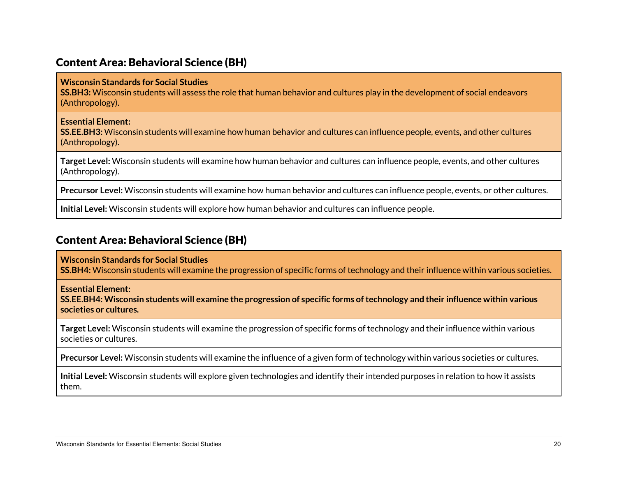### Content Area: Behavioral Science (BH)

#### **Wisconsin Standards for Social Studies**

**SS.BH3:** Wisconsin students will assess the role that human behavior and cultures play in the development of social endeavors (Anthropology).

#### **Essential Element:**

**SS.EE.BH3:** Wisconsin students will examine how human behavior and cultures can influence people, events, and other cultures (Anthropology).

**Target Level:** Wisconsin students will examine how human behavior and cultures can influence people, events, and other cultures (Anthropology).

**Precursor Level:** Wisconsin students will examine how human behavior and cultures can influence people, events, or other cultures.

**Initial Level:** Wisconsin students will explore how human behavior and cultures can influence people.

### Content Area: Behavioral Science (BH)

**Wisconsin Standards for Social Studies**

**SS.BH4:** Wisconsin students will examine the progression of specific forms of technology and their influence within various societies.

**Essential Element:** 

**SS.EE.BH4: Wisconsin students will examine the progression of specific forms of technology and their influence within various societies or cultures.**

**Target Level:** Wisconsin students will examine the progression of specific forms of technology and their influence within various societies or cultures.

**Precursor Level:** Wisconsin students will examine the influence of a given form of technology within various societies or cultures.

**Initial Level:** Wisconsin students will explore given technologies and identify their intended purposes in relation to how it assists them.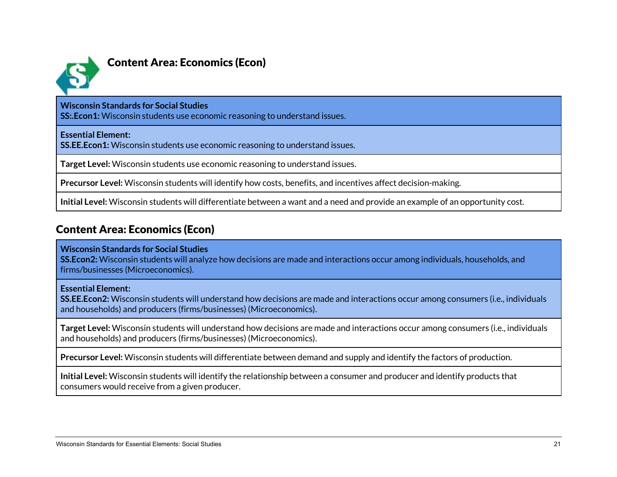

## Content Area: Economics (Econ)

#### **Wisconsin Standards for Social Studies**

**SS:.Econ1:** Wisconsin students use economic reasoning to understand issues.

**Essential Element:**

**SS.EE.Econ1:** Wisconsin students use economic reasoning to understand issues.

**Target Level:** Wisconsin students use economic reasoning to understand issues.

**Precursor Level:** Wisconsin students will identify how costs, benefits, and incentives affect decision-making.

**Initial Level:** Wisconsin students will differentiate between a want and a need and provide an example of an opportunity cost.

## Content Area: Economics (Econ)

#### **Wisconsin Standards for Social Studies**

**SS.Econ2:** Wisconsin students will analyze how decisions are made and interactions occur among individuals, households, and firms/businesses (Microeconomics).

#### **Essential Element:**

**SS.EE.Econ2:** Wisconsin students will understand how decisions are made and interactions occur among consumers (i.e., individuals and households) and producers (firms/businesses) (Microeconomics).

**Target Level:** Wisconsin students will understand how decisions are made and interactions occur among consumers (i.e., individuals and households) and producers (firms/businesses) (Microeconomics).

**Precursor Level:** Wisconsin students will differentiate between demand and supply and identify the factors of production.

**Initial Level:** Wisconsin students will identify the relationship between a consumer and producer and identify products that consumers would receive from a given producer.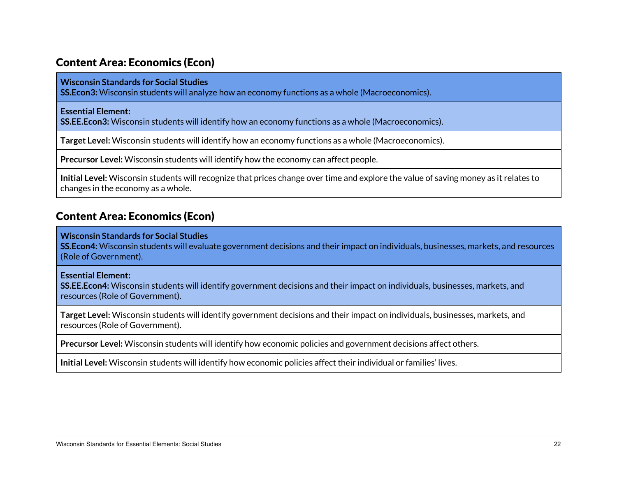## Content Area: Economics (Econ)

#### **Wisconsin Standards for Social Studies**

**SS.Econ3:** Wisconsin students will analyze how an economy functions as a whole (Macroeconomics).

#### **Essential Element:**

**SS.EE.Econ3:** Wisconsin students will identify how an economy functions as a whole (Macroeconomics).

**Target Level:** Wisconsin students will identify how an economy functions as a whole (Macroeconomics).

**Precursor Level:** Wisconsin students will identify how the economy can affect people.

**Initial Level:** Wisconsin students will recognize that prices change over time and explore the value of saving money as it relates to changes in the economy as a whole.

## Content Area: Economics (Econ)

#### **Wisconsin Standards for Social Studies**

**SS.Econ4:** Wisconsin students will evaluate government decisions and their impact on individuals, businesses, markets, and resources (Role of Government).

#### **Essential Element:**

**SS.EE.Econ4:** Wisconsin students will identify government decisions and their impact on individuals, businesses, markets, and resources (Role of Government).

**Target Level:** Wisconsin students will identify government decisions and their impact on individuals, businesses, markets, and resources (Role of Government).

**Precursor Level:** Wisconsin students will identify how economic policies and government decisions affect others.

**Initial Level:** Wisconsin students will identify how economic policies affect their individual or families' lives.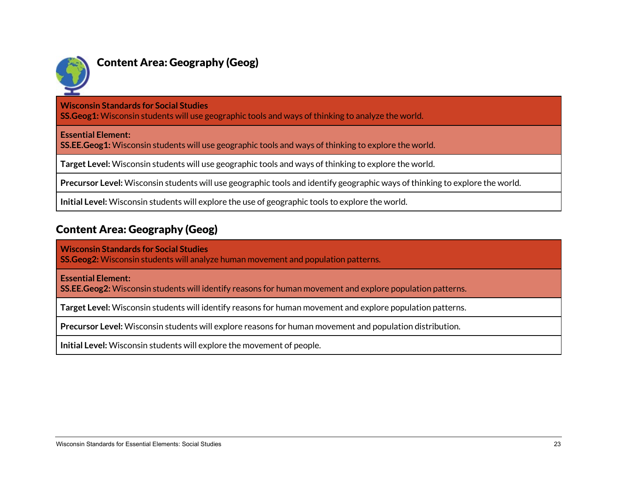

## Content Area: Geography (Geog)

**Wisconsin Standards for Social Studies**

**SS.Geog1:** Wisconsin students will use geographic tools and ways of thinking to analyze the world.

**Essential Element:** 

**SS.EE.Geog1:** Wisconsin students will use geographic tools and ways of thinking to explore the world.

**Target Level:** Wisconsin students will use geographic tools and ways of thinking to explore the world.

**Precursor Level:** Wisconsin students will use geographic tools and identify geographic ways of thinking to explore the world.

**Initial Level:** Wisconsin students will explore the use of geographic tools to explore the world.

## Content Area: Geography (Geog)

**Wisconsin Standards for Social Studies**

**SS.Geog2:** Wisconsin students will analyze human movement and population patterns.

**Essential Element:** 

**SS.EE.Geog2:** Wisconsin students will identify reasons for human movement and explore population patterns.

**Target Level:** Wisconsin students will identify reasons for human movement and explore population patterns.

**Precursor Level:** Wisconsin students will explore reasons for human movement and population distribution.

**Initial Level:** Wisconsin students will explore the movement of people.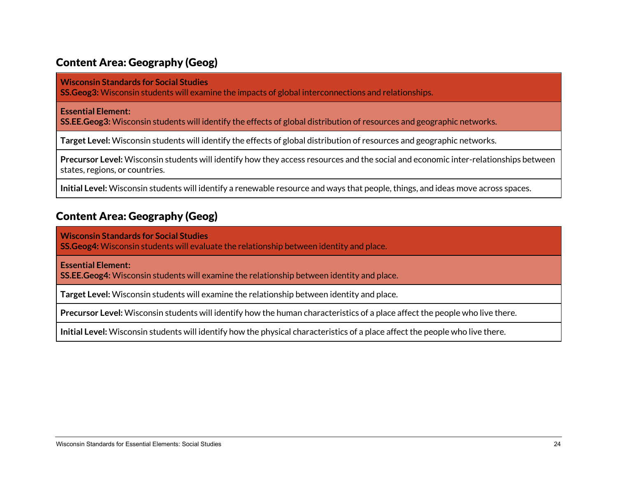## Content Area: Geography (Geog)

**Wisconsin Standards for Social Studies**

**SS.Geog3:** Wisconsin students will examine the impacts of global interconnections and relationships.

**Essential Element:** 

**SS.EE.Geog3:** Wisconsin students will identify the effects of global distribution of resources and geographic networks.

**Target Level:** Wisconsin students will identify the effects of global distribution of resources and geographic networks.

**Precursor Level:** Wisconsin students will identify how they access resources and the social and economic inter-relationships between states, regions, or countries.

**Initial Level:** Wisconsin students will identify a renewable resource and ways that people, things, and ideas move across spaces.

## Content Area: Geography (Geog)

**Wisconsin Standards for Social Studies**

**SS.Geog4:** Wisconsin students will evaluate the relationship between identity and place.

**Essential Element:** 

**SS.EE.Geog4:** Wisconsin students will examine the relationship between identity and place.

**Target Level:** Wisconsin students will examine the relationship between identity and place.

**Precursor Level:** Wisconsin students will identify how the human characteristics of a place affect the people who live there.

**Initial Level:** Wisconsin students will identify how the physical characteristics of a place affect the people who live there.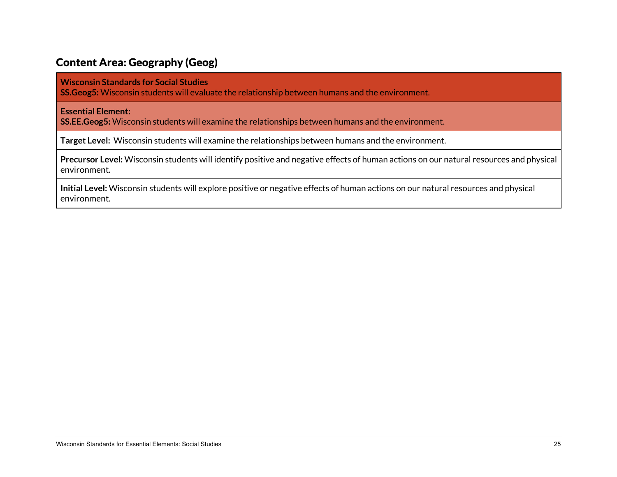## Content Area: Geography (Geog)

**Wisconsin Standards for Social Studies**

**SS.Geog5:** Wisconsin students will evaluate the relationship between humans and the environment.

**Essential Element:** 

**SS.EE.Geog5:** Wisconsin students will examine the relationships between humans and the environment.

**Target Level:** Wisconsin students will examine the relationships between humans and the environment.

**Precursor Level:** Wisconsin students will identify positive and negative effects of human actions on our natural resources and physical environment.

**Initial Level:** Wisconsin students will explore positive or negative effects of human actions on our natural resources and physical environment.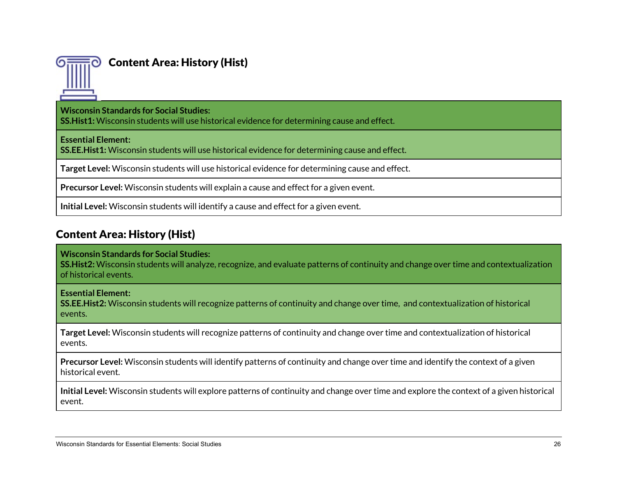

## Content Area: History (Hist)

**Wisconsin Standards for Social Studies:**

**SS.Hist1:** Wisconsin students will use historical evidence for determining cause and effect.

**Essential Element:**

**SS.EE.Hist1:** Wisconsin students will use historical evidence for determining cause and effect.

**Target Level:** Wisconsin students will use historical evidence for determining cause and effect.

**Precursor Level:** Wisconsin students will explain a cause and effect for a given event.

**Initial Level:** Wisconsin students will identify a cause and effect for a given event.

## Content Area: History (Hist)

#### **Wisconsin Standards for Social Studies:**

**SS.Hist2:** Wisconsin students will analyze, recognize, and evaluate patterns of continuity and change over time and contextualization of historical events.

**Essential Element:**

**SS.EE.Hist2:** Wisconsin students will recognize patterns of continuity and change over time, and contextualization of historical events.

**Target Level:** Wisconsin students will recognize patterns of continuity and change over time and contextualization of historical events.

**Precursor Level:** Wisconsin students will identify patterns of continuity and change over time and identify the context of a given historical event.

**Initial Level:** Wisconsin students will explore patterns of continuity and change over time and explore the context of a given historical event.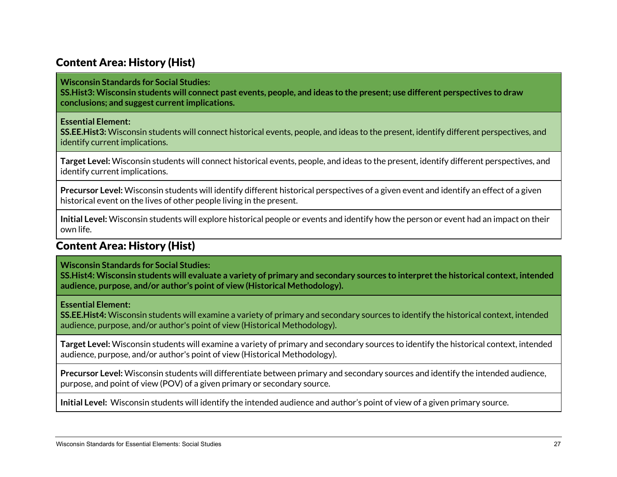## Content Area: History (Hist)

**Wisconsin Standards for Social Studies:**

**SS.Hist3: Wisconsin students will connect past events, people, and ideas to the present; use different perspectives to draw conclusions; and suggest current implications.**

#### **Essential Element:**

**SS.EE.Hist3:** Wisconsin students will connect historical events, people, and ideas to the present, identify different perspectives, and identify current implications.

**Target Level:** Wisconsin students will connect historical events, people, and ideas to the present, identify different perspectives, and identify current implications.

**Precursor Level:** Wisconsin students will identify different historical perspectives of a given event and identify an effect of a given historical event on the lives of other people living in the present.

**Initial Level:** Wisconsin students will explore historical people or events and identify how the person or event had an impact on their own life.

## Content Area: History (Hist)

**Wisconsin Standards for Social Studies:**

**SS.Hist4: Wisconsin students will evaluate a variety of primary and secondary sources to interpret the historical context, intended audience, purpose, and/or author's point of view (Historical Methodology).**

#### **Essential Element:**

**SS.EE.Hist4:** Wisconsin students will examine a variety of primary and secondary sources to identify the historical context, intended audience, purpose, and/or author's point of view (Historical Methodology).

**Target Level:** Wisconsin students will examine a variety of primary and secondary sources to identify the historical context, intended audience, purpose, and/or author's point of view (Historical Methodology).

**Precursor Level:** Wisconsin students will differentiate between primary and secondary sources and identify the intended audience, purpose, and point of view (POV) of a given primary or secondary source.

**Initial Level:** Wisconsin students will identify the intended audience and author's point of view of a given primary source.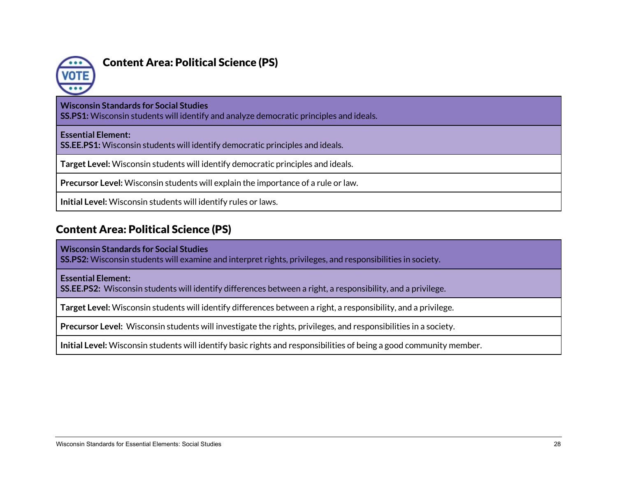

## Content Area: Political Science (PS)

#### **Wisconsin Standards for Social Studies**

**SS.PS1:** Wisconsin students will identify and analyze democratic principles and ideals.

#### **Essential Element:**

**SS.EE.PS1:** Wisconsin students will identify democratic principles and ideals.

**Target Level:** Wisconsin students will identify democratic principles and ideals.

**Precursor Level:** Wisconsin students will explain the importance of a rule or law.

**Initial Level:** Wisconsin students will identify rules or laws.

## Content Area: Political Science (PS)

**Wisconsin Standards for Social Studies**

**SS.PS2:** Wisconsin students will examine and interpret rights, privileges, and responsibilities in society.

**Essential Element:**

**SS.EE.PS2:** Wisconsin students will identify differences between a right, a responsibility, and a privilege.

**Target Level:** Wisconsin students will identify differences between a right, a responsibility, and a privilege.

**Precursor Level:** Wisconsin students will investigate the rights, privileges, and responsibilities in a society.

**Initial Level:** Wisconsin students will identify basic rights and responsibilities of being a good community member.